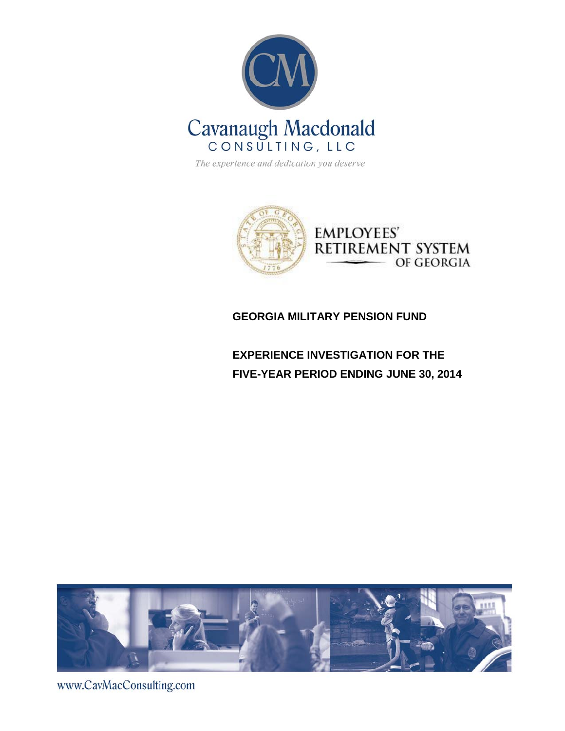

The experience and dedication you deserve



# **GEORGIA MILITARY PENSION FUND**

**EXPERIENCE INVESTIGATION FOR THE FIVE-YEAR PERIOD ENDING JUNE 30, 2014** 



www.CavMacConsulting.com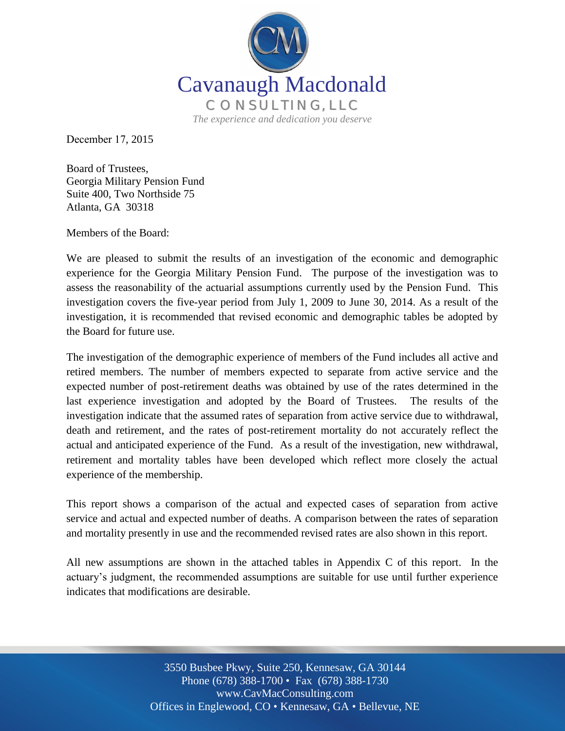

December 17, 2015

Board of Trustees, Georgia Military Pension Fund Suite 400, Two Northside 75 Atlanta, GA 30318

Members of the Board:

We are pleased to submit the results of an investigation of the economic and demographic experience for the Georgia Military Pension Fund. The purpose of the investigation was to assess the reasonability of the actuarial assumptions currently used by the Pension Fund. This investigation covers the five-year period from July 1, 2009 to June 30, 2014. As a result of the investigation, it is recommended that revised economic and demographic tables be adopted by the Board for future use.

The investigation of the demographic experience of members of the Fund includes all active and retired members. The number of members expected to separate from active service and the expected number of post-retirement deaths was obtained by use of the rates determined in the last experience investigation and adopted by the Board of Trustees. The results of the investigation indicate that the assumed rates of separation from active service due to withdrawal, death and retirement, and the rates of post-retirement mortality do not accurately reflect the actual and anticipated experience of the Fund. As a result of the investigation, new withdrawal, retirement and mortality tables have been developed which reflect more closely the actual experience of the membership.

This report shows a comparison of the actual and expected cases of separation from active service and actual and expected number of deaths. A comparison between the rates of separation and mortality presently in use and the recommended revised rates are also shown in this report.

All new assumptions are shown in the attached tables in Appendix C of this report. In the actuary's judgment, the recommended assumptions are suitable for use until further experience indicates that modifications are desirable.

> Off Offices in Englewood, CO • Kennesaw, GA • Bellevue, NE 3550 Busbee Pkwy, Suite 250, Kennesaw, GA 30144 Phone (678) 388-1700 • Fax (678) 388-1730 www.CavMacConsulting.com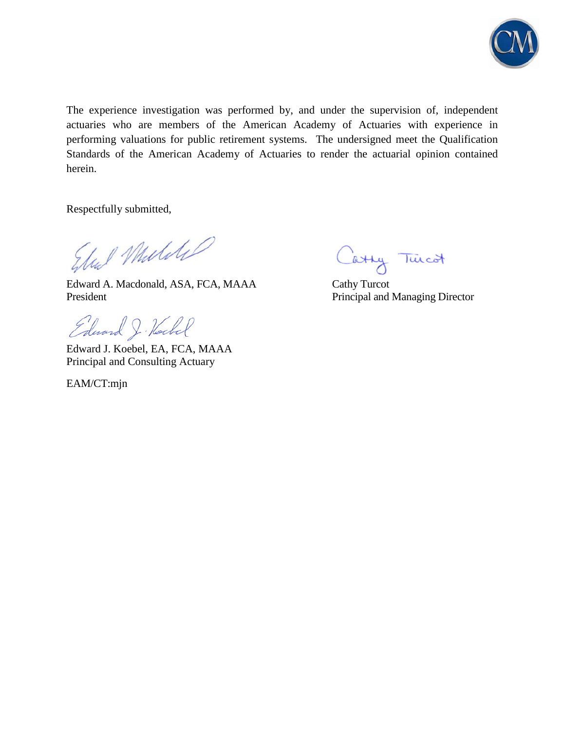

The experience investigation was performed by, and under the supervision of, independent actuaries who are members of the American Academy of Actuaries with experience in performing valuations for public retirement systems. The undersigned meet the Qualification Standards of the American Academy of Actuaries to render the actuarial opinion contained herein.

Respectfully submitted,

Stal Middle

Edward A. Macdonald, ASA, FCA, MAAA Cathy Turcot President President Principal and Managing Director

Edward J. Hockel

Edward J. Koebel, EA, FCA, MAAA Principal and Consulting Actuary

EAM/CT:mjn

Cathy Tuicot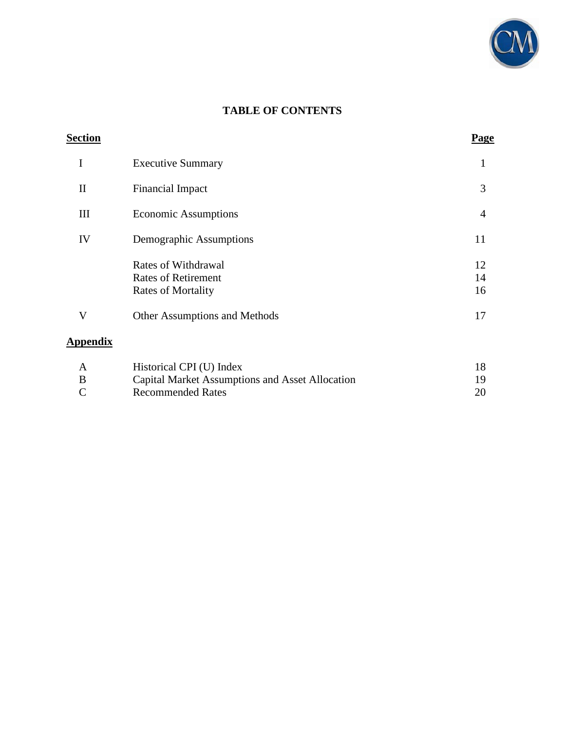

# **TABLE OF CONTENTS**

| <b>Section</b>  |                                                                                | Page           |
|-----------------|--------------------------------------------------------------------------------|----------------|
| I               | <b>Executive Summary</b>                                                       | 1              |
| $\mathbf{I}$    | <b>Financial Impact</b>                                                        | 3              |
| III             | <b>Economic Assumptions</b>                                                    | $\overline{4}$ |
| IV              | Demographic Assumptions                                                        | 11             |
|                 | Rates of Withdrawal<br><b>Rates of Retirement</b><br><b>Rates of Mortality</b> | 12<br>14<br>16 |
| V               | Other Assumptions and Methods                                                  | 17             |
| <b>Appendix</b> |                                                                                |                |
|                 | $\sim$ $\sim$ $\sim$ $\sim$ $\sim$ $\sim$                                      | $\sim$         |

| A             | Historical CPI (U) Index                        |  |
|---------------|-------------------------------------------------|--|
| B             | Capital Market Assumptions and Asset Allocation |  |
| $\mathcal{C}$ | Recommended Rates                               |  |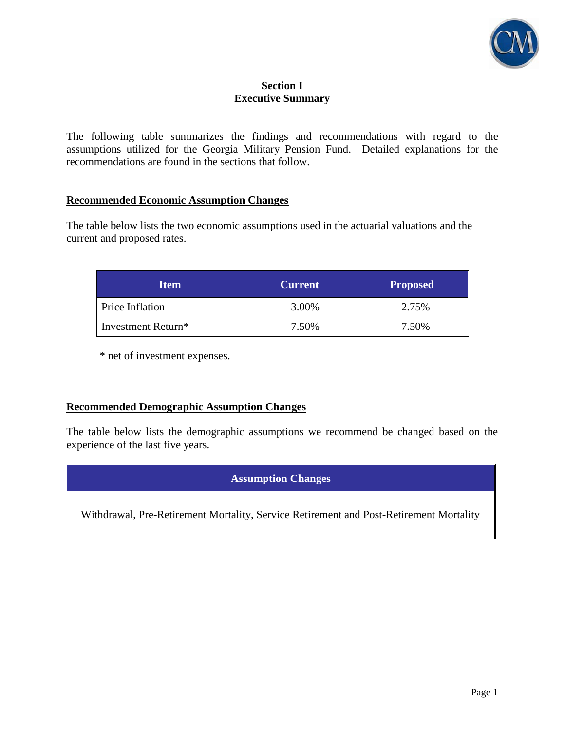

### **Section I Executive Summary**

The following table summarizes the findings and recommendations with regard to the assumptions utilized for the Georgia Military Pension Fund. Detailed explanations for the recommendations are found in the sections that follow.

### **Recommended Economic Assumption Changes**

The table below lists the two economic assumptions used in the actuarial valuations and the current and proposed rates.

| <b>Item</b>                    | <b>Current</b> | <b>Proposed</b> |
|--------------------------------|----------------|-----------------|
| Price Inflation                | 3.00%          | 2.75%           |
| Investment Return <sup>*</sup> | 7.50%          | 7.50%           |

\* net of investment expenses.

### **Recommended Demographic Assumption Changes**

The table below lists the demographic assumptions we recommend be changed based on the experience of the last five years.

## **Assumption Changes**

Withdrawal, Pre-Retirement Mortality, Service Retirement and Post-Retirement Mortality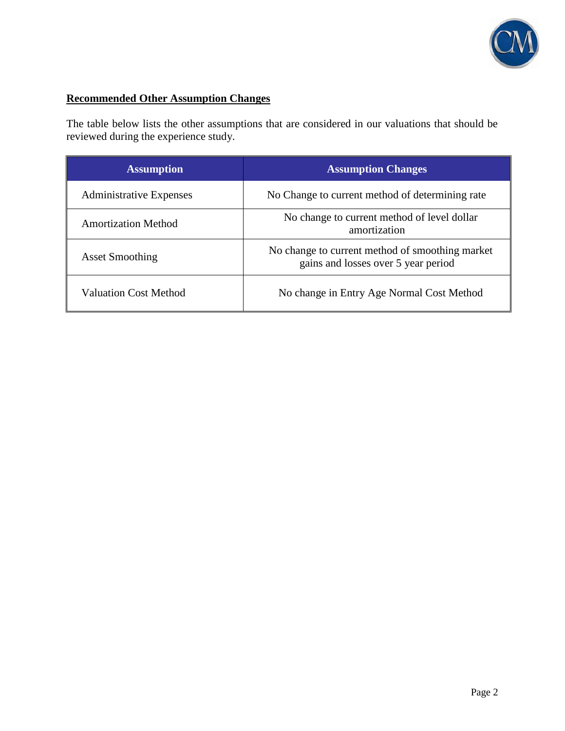

# **Recommended Other Assumption Changes**

The table below lists the other assumptions that are considered in our valuations that should be reviewed during the experience study.

| <b>Assumption</b>              | <b>Assumption Changes</b>                                                              |  |  |
|--------------------------------|----------------------------------------------------------------------------------------|--|--|
| <b>Administrative Expenses</b> | No Change to current method of determining rate                                        |  |  |
| <b>Amortization Method</b>     | No change to current method of level dollar<br>amortization                            |  |  |
| <b>Asset Smoothing</b>         | No change to current method of smoothing market<br>gains and losses over 5 year period |  |  |
| <b>Valuation Cost Method</b>   | No change in Entry Age Normal Cost Method                                              |  |  |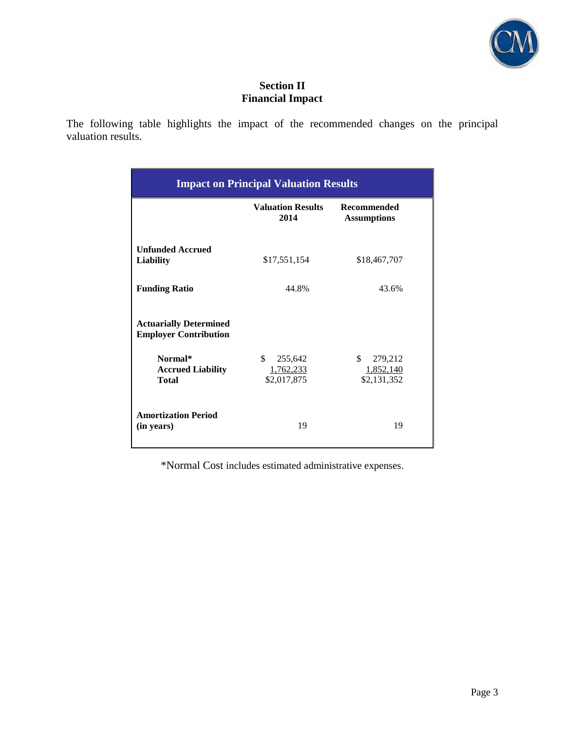

## **Section II Financial Impact**

The following table highlights the impact of the recommended changes on the principal valuation results.

| <b>Impact on Principal Valuation Results</b>                  |                                           |                                           |  |  |
|---------------------------------------------------------------|-------------------------------------------|-------------------------------------------|--|--|
|                                                               | <b>Valuation Results</b><br>2014          | <b>Recommended</b><br><b>Assumptions</b>  |  |  |
| <b>Unfunded Accrued</b><br><b>Liability</b>                   | \$17,551,154                              | \$18,467,707                              |  |  |
| <b>Funding Ratio</b>                                          | 44.8%                                     | 43.6%                                     |  |  |
| <b>Actuarially Determined</b><br><b>Employer Contribution</b> |                                           |                                           |  |  |
| Normal*<br><b>Accrued Liability</b><br>Total                  | \$<br>255,642<br>1,762,233<br>\$2,017,875 | \$<br>279,212<br>1,852,140<br>\$2,131,352 |  |  |
| <b>Amortization Period</b><br>(in years)                      | 19                                        | 19                                        |  |  |

\*Normal Cost includes estimated administrative expenses.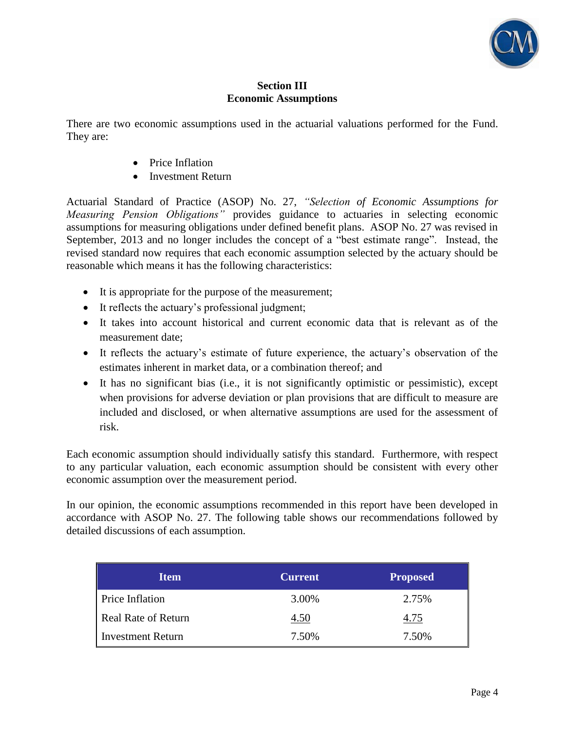

### **Section III Economic Assumptions**

There are two economic assumptions used in the actuarial valuations performed for the Fund. They are:

- Price Inflation
- Investment Return

Actuarial Standard of Practice (ASOP) No. 27, *"Selection of Economic Assumptions for Measuring Pension Obligations"* provides guidance to actuaries in selecting economic assumptions for measuring obligations under defined benefit plans. ASOP No. 27 was revised in September, 2013 and no longer includes the concept of a "best estimate range". Instead, the revised standard now requires that each economic assumption selected by the actuary should be reasonable which means it has the following characteristics:

- It is appropriate for the purpose of the measurement;
- It reflects the actuary's professional judgment;
- It takes into account historical and current economic data that is relevant as of the measurement date;
- It reflects the actuary's estimate of future experience, the actuary's observation of the estimates inherent in market data, or a combination thereof; and
- It has no significant bias (i.e., it is not significantly optimistic or pessimistic), except when provisions for adverse deviation or plan provisions that are difficult to measure are included and disclosed, or when alternative assumptions are used for the assessment of risk.

Each economic assumption should individually satisfy this standard. Furthermore, with respect to any particular valuation, each economic assumption should be consistent with every other economic assumption over the measurement period.

In our opinion, the economic assumptions recommended in this report have been developed in accordance with ASOP No. 27. The following table shows our recommendations followed by detailed discussions of each assumption.

| <b>Item</b>         | <b>Current</b> | <b>Proposed</b> |
|---------------------|----------------|-----------------|
| Price Inflation     | 3.00%          | 2.75%           |
| Real Rate of Return | 4.50           | 4.75            |
| Investment Return   | 7.50%          | 7.50%           |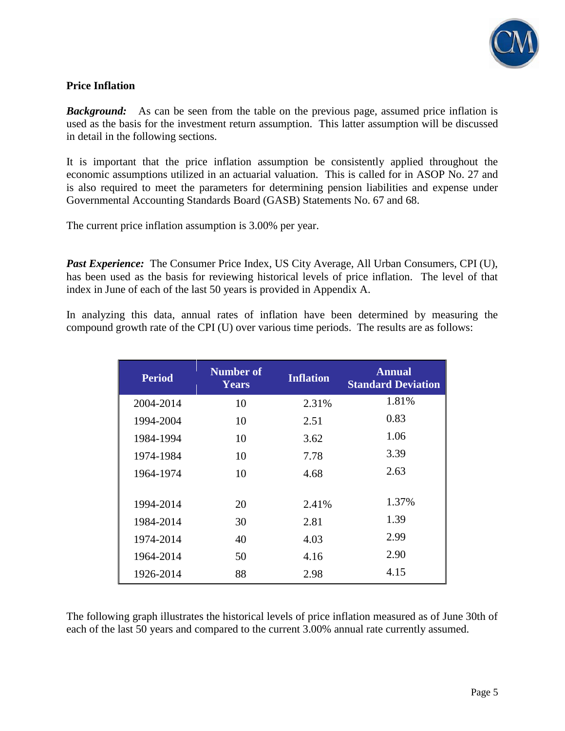

### **Price Inflation**

**Background:** As can be seen from the table on the previous page, assumed price inflation is used as the basis for the investment return assumption. This latter assumption will be discussed in detail in the following sections.

It is important that the price inflation assumption be consistently applied throughout the economic assumptions utilized in an actuarial valuation. This is called for in ASOP No. 27 and is also required to meet the parameters for determining pension liabilities and expense under Governmental Accounting Standards Board (GASB) Statements No. 67 and 68.

The current price inflation assumption is 3.00% per year.

*Past Experience:* The Consumer Price Index, US City Average, All Urban Consumers, CPI (U), has been used as the basis for reviewing historical levels of price inflation. The level of that index in June of each of the last 50 years is provided in Appendix A.

In analyzing this data, annual rates of inflation have been determined by measuring the compound growth rate of the CPI (U) over various time periods. The results are as follows:

| <b>Period</b> | <b>Number of</b><br>Years | <b>Inflation</b> | <b>Annual</b><br><b>Standard Deviation</b> |
|---------------|---------------------------|------------------|--------------------------------------------|
| 2004-2014     | 10                        | 2.31%            | 1.81%                                      |
| 1994-2004     | 10                        | 2.51             | 0.83                                       |
| 1984-1994     | 10                        | 3.62             | 1.06                                       |
| 1974-1984     | 10                        | 7.78             | 3.39                                       |
| 1964-1974     | 10                        | 4.68             | 2.63                                       |
| 1994-2014     | 20                        | 2.41%            | 1.37%                                      |
| 1984-2014     | 30                        | 2.81             | 1.39                                       |
| 1974-2014     | 40                        | 4.03             | 2.99                                       |
| 1964-2014     | 50                        | 4.16             | 2.90                                       |
| 1926-2014     | 88                        | 2.98             | 4.15                                       |

The following graph illustrates the historical levels of price inflation measured as of June 30th of each of the last 50 years and compared to the current 3.00% annual rate currently assumed.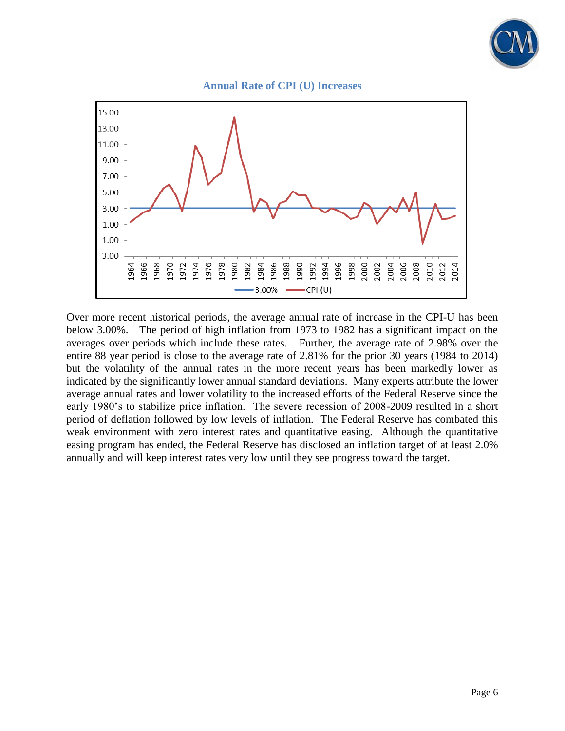





Over more recent historical periods, the average annual rate of increase in the CPI-U has been below 3.00%. The period of high inflation from 1973 to 1982 has a significant impact on the averages over periods which include these rates. Further, the average rate of 2.98% over the entire 88 year period is close to the average rate of 2.81% for the prior 30 years (1984 to 2014) but the volatility of the annual rates in the more recent years has been markedly lower as indicated by the significantly lower annual standard deviations. Many experts attribute the lower average annual rates and lower volatility to the increased efforts of the Federal Reserve since the early 1980's to stabilize price inflation. The severe recession of 2008-2009 resulted in a short period of deflation followed by low levels of inflation. The Federal Reserve has combated this weak environment with zero interest rates and quantitative easing. Although the quantitative easing program has ended, the Federal Reserve has disclosed an inflation target of at least 2.0% annually and will keep interest rates very low until they see progress toward the target.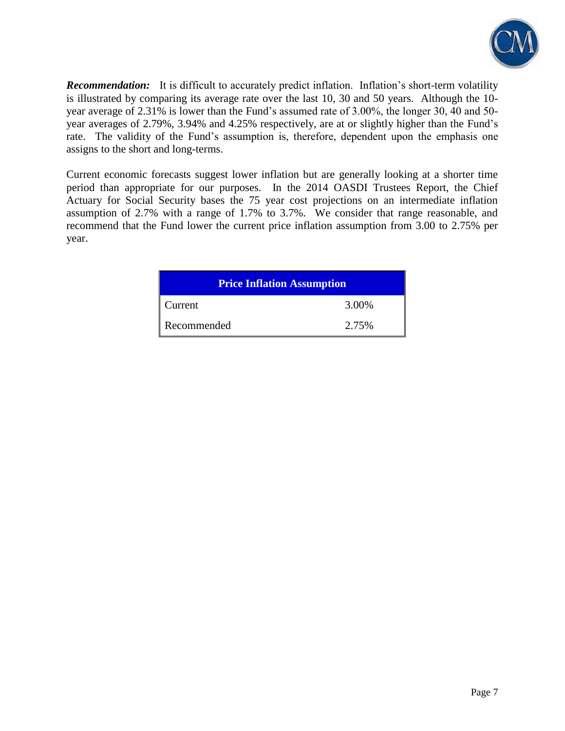

**Recommendation:** It is difficult to accurately predict inflation. Inflation's short-term volatility is illustrated by comparing its average rate over the last 10, 30 and 50 years. Although the 10 year average of 2.31% is lower than the Fund's assumed rate of 3.00%, the longer 30, 40 and 50 year averages of 2.79%, 3.94% and 4.25% respectively, are at or slightly higher than the Fund's rate. The validity of the Fund's assumption is, therefore, dependent upon the emphasis one assigns to the short and long-terms.

Current economic forecasts suggest lower inflation but are generally looking at a shorter time period than appropriate for our purposes. In the 2014 OASDI Trustees Report, the Chief Actuary for Social Security bases the 75 year cost projections on an intermediate inflation assumption of 2.7% with a range of 1.7% to 3.7%. We consider that range reasonable, and recommend that the Fund lower the current price inflation assumption from 3.00 to 2.75% per year.

| <b>Price Inflation Assumption</b> |       |  |  |  |
|-----------------------------------|-------|--|--|--|
| Current                           | 3.00% |  |  |  |
| Recommended                       | 2.75% |  |  |  |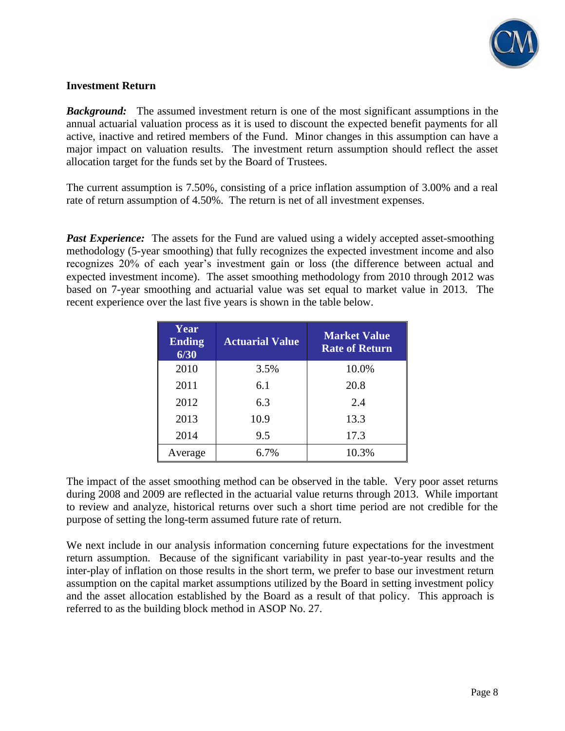

### **Investment Return**

**Background:** The assumed investment return is one of the most significant assumptions in the annual actuarial valuation process as it is used to discount the expected benefit payments for all active, inactive and retired members of the Fund. Minor changes in this assumption can have a major impact on valuation results. The investment return assumption should reflect the asset allocation target for the funds set by the Board of Trustees.

The current assumption is 7.50%, consisting of a price inflation assumption of 3.00% and a real rate of return assumption of 4.50%. The return is net of all investment expenses.

**Past Experience:** The assets for the Fund are valued using a widely accepted asset-smoothing methodology (5-year smoothing) that fully recognizes the expected investment income and also recognizes 20% of each year's investment gain or loss (the difference between actual and expected investment income). The asset smoothing methodology from 2010 through 2012 was based on 7-year smoothing and actuarial value was set equal to market value in 2013. The recent experience over the last five years is shown in the table below.

| Year<br><b>Ending</b><br>6/30 | <b>Actuarial Value</b> | <b>Market Value</b><br><b>Rate of Return</b> |
|-------------------------------|------------------------|----------------------------------------------|
| 2010                          | 3.5%                   | 10.0%                                        |
| 2011                          | 6.1                    | 20.8                                         |
| 2012                          | 6.3                    | 2.4                                          |
| 2013                          | 10.9                   | 13.3                                         |
| 2014                          | 9.5                    | 17.3                                         |
| Average                       | 6.7%                   | 10.3%                                        |

The impact of the asset smoothing method can be observed in the table. Very poor asset returns during 2008 and 2009 are reflected in the actuarial value returns through 2013. While important to review and analyze, historical returns over such a short time period are not credible for the purpose of setting the long-term assumed future rate of return.

We next include in our analysis information concerning future expectations for the investment return assumption. Because of the significant variability in past year-to-year results and the inter-play of inflation on those results in the short term, we prefer to base our investment return assumption on the capital market assumptions utilized by the Board in setting investment policy and the asset allocation established by the Board as a result of that policy. This approach is referred to as the building block method in ASOP No. 27.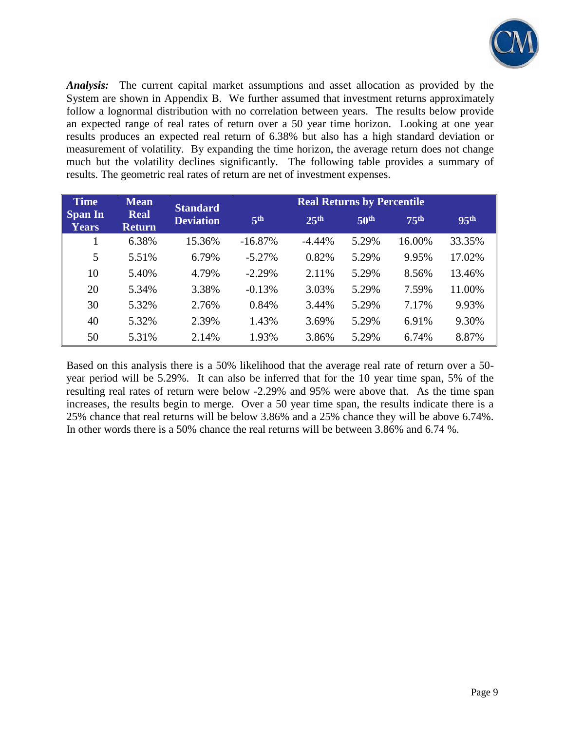

*Analysis:* The current capital market assumptions and asset allocation as provided by the System are shown in Appendix B. We further assumed that investment returns approximately follow a lognormal distribution with no correlation between years. The results below provide an expected range of real rates of return over a 50 year time horizon. Looking at one year results produces an expected real return of 6.38% but also has a high standard deviation or measurement of volatility. By expanding the time horizon, the average return does not change much but the volatility declines significantly. The following table provides a summary of results. The geometric real rates of return are net of investment expenses.

| <b>Time</b>                    | <b>Mean</b>                  | <b>Standard</b>  |                 | <b>Real Returns by Percentile</b> |                  |                  |                  |
|--------------------------------|------------------------------|------------------|-----------------|-----------------------------------|------------------|------------------|------------------|
| <b>Span In</b><br><b>Years</b> | <b>Real</b><br><b>Return</b> | <b>Deviation</b> | 5 <sup>th</sup> | 25 <sup>th</sup>                  | 50 <sup>th</sup> | 75 <sup>th</sup> | 95 <sup>th</sup> |
|                                | 6.38%                        | 15.36%           | $-16.87%$       | $-4.44\%$                         | 5.29%            | 16.00%           | 33.35%           |
| 5                              | 5.51%                        | 6.79%            | $-5.27%$        | 0.82%                             | 5.29%            | 9.95%            | 17.02%           |
| 10                             | 5.40%                        | 4.79%            | $-2.29%$        | 2.11%                             | 5.29%            | 8.56%            | 13.46%           |
| 20                             | 5.34%                        | 3.38%            | $-0.13%$        | 3.03%                             | 5.29%            | 7.59%            | 11.00%           |
| 30                             | 5.32%                        | 2.76%            | 0.84%           | 3.44%                             | 5.29%            | 7.17%            | 9.93%            |
| 40                             | 5.32%                        | 2.39%            | 1.43%           | 3.69%                             | 5.29%            | 6.91%            | 9.30%            |
| 50                             | 5.31%                        | 2.14%            | 1.93%           | 3.86%                             | 5.29%            | 6.74%            | 8.87%            |

Based on this analysis there is a 50% likelihood that the average real rate of return over a 50 year period will be 5.29%. It can also be inferred that for the 10 year time span, 5% of the resulting real rates of return were below -2.29% and 95% were above that. As the time span increases, the results begin to merge. Over a 50 year time span, the results indicate there is a 25% chance that real returns will be below 3.86% and a 25% chance they will be above 6.74%. In other words there is a 50% chance the real returns will be between 3.86% and 6.74 %.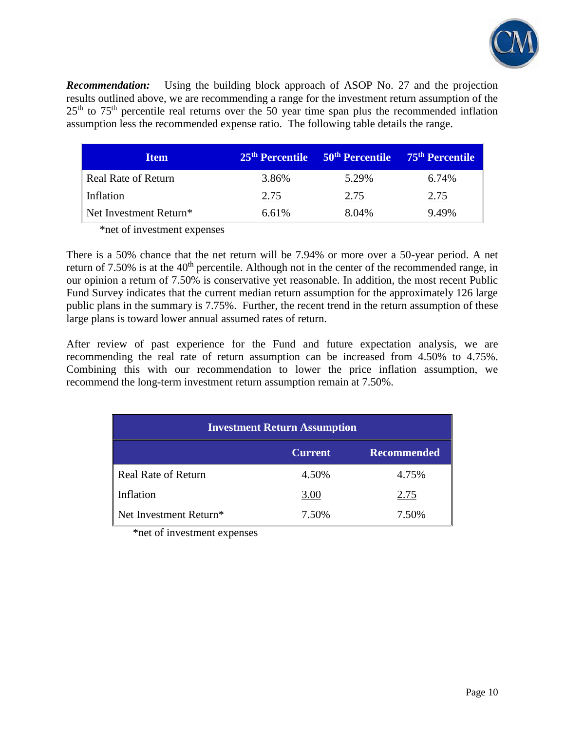

*Recommendation:* Using the building block approach of ASOP No. 27 and the projection results outlined above, we are recommending a range for the investment return assumption of the  $25<sup>th</sup>$  to  $75<sup>th</sup>$  percentile real returns over the 50 year time span plus the recommended inflation assumption less the recommended expense ratio. The following table details the range.

| <b>Item</b>            | 25 <sup>th</sup> Percentile | 50 <sup>th</sup> Percentile | 75 <sup>th</sup> Percentile |
|------------------------|-----------------------------|-----------------------------|-----------------------------|
| Real Rate of Return    | 3.86%                       | 5.29%                       | 6.74%                       |
| Inflation              | 2.75                        | 2.75                        | 2.75                        |
| Net Investment Return* | 6.61%                       | 8.04%                       | 9.49%                       |

\*net of investment expenses

There is a 50% chance that the net return will be 7.94% or more over a 50-year period. A net return of  $7.50\%$  is at the  $40<sup>th</sup>$  percentile. Although not in the center of the recommended range, in our opinion a return of 7.50% is conservative yet reasonable. In addition, the most recent Public Fund Survey indicates that the current median return assumption for the approximately 126 large public plans in the summary is 7.75%. Further, the recent trend in the return assumption of these large plans is toward lower annual assumed rates of return.

After review of past experience for the Fund and future expectation analysis, we are recommending the real rate of return assumption can be increased from 4.50% to 4.75%. Combining this with our recommendation to lower the price inflation assumption, we recommend the long-term investment return assumption remain at 7.50%.

| <b>Investment Return Assumption</b>  |       |       |  |  |  |
|--------------------------------------|-------|-------|--|--|--|
| <b>Recommended</b><br><b>Current</b> |       |       |  |  |  |
| <b>Real Rate of Return</b>           | 4.50% | 4.75% |  |  |  |
| Inflation                            | 3.00  | 2.75  |  |  |  |
| Net Investment Return*               | 7.50% | 7.50% |  |  |  |

\*net of investment expenses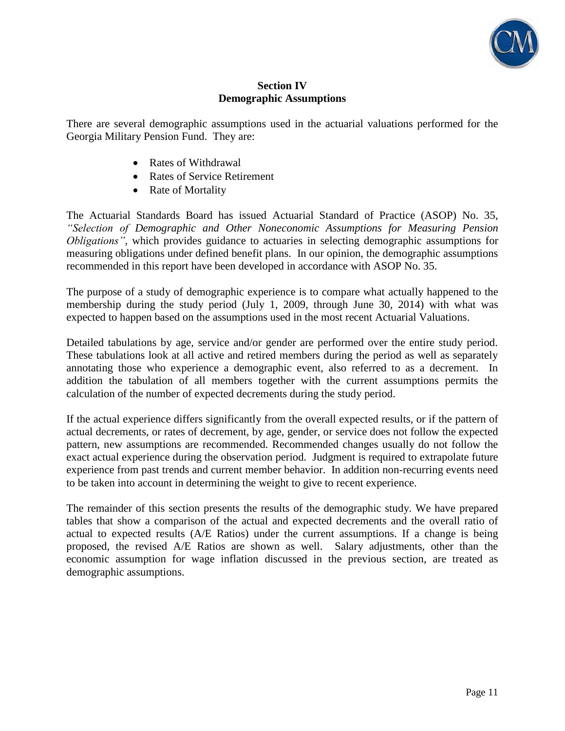

### **Section IV Demographic Assumptions**

There are several demographic assumptions used in the actuarial valuations performed for the Georgia Military Pension Fund. They are:

- Rates of Withdrawal
- Rates of Service Retirement
- Rate of Mortality

The Actuarial Standards Board has issued Actuarial Standard of Practice (ASOP) No. 35, *"Selection of Demographic and Other Noneconomic Assumptions for Measuring Pension Obligations"*, which provides guidance to actuaries in selecting demographic assumptions for measuring obligations under defined benefit plans. In our opinion, the demographic assumptions recommended in this report have been developed in accordance with ASOP No. 35.

The purpose of a study of demographic experience is to compare what actually happened to the membership during the study period (July 1, 2009, through June 30, 2014) with what was expected to happen based on the assumptions used in the most recent Actuarial Valuations.

Detailed tabulations by age, service and/or gender are performed over the entire study period. These tabulations look at all active and retired members during the period as well as separately annotating those who experience a demographic event, also referred to as a decrement. In addition the tabulation of all members together with the current assumptions permits the calculation of the number of expected decrements during the study period.

If the actual experience differs significantly from the overall expected results, or if the pattern of actual decrements, or rates of decrement, by age, gender, or service does not follow the expected pattern, new assumptions are recommended. Recommended changes usually do not follow the exact actual experience during the observation period. Judgment is required to extrapolate future experience from past trends and current member behavior. In addition non-recurring events need to be taken into account in determining the weight to give to recent experience.

The remainder of this section presents the results of the demographic study. We have prepared tables that show a comparison of the actual and expected decrements and the overall ratio of actual to expected results (A/E Ratios) under the current assumptions. If a change is being proposed, the revised A/E Ratios are shown as well. Salary adjustments, other than the economic assumption for wage inflation discussed in the previous section, are treated as demographic assumptions.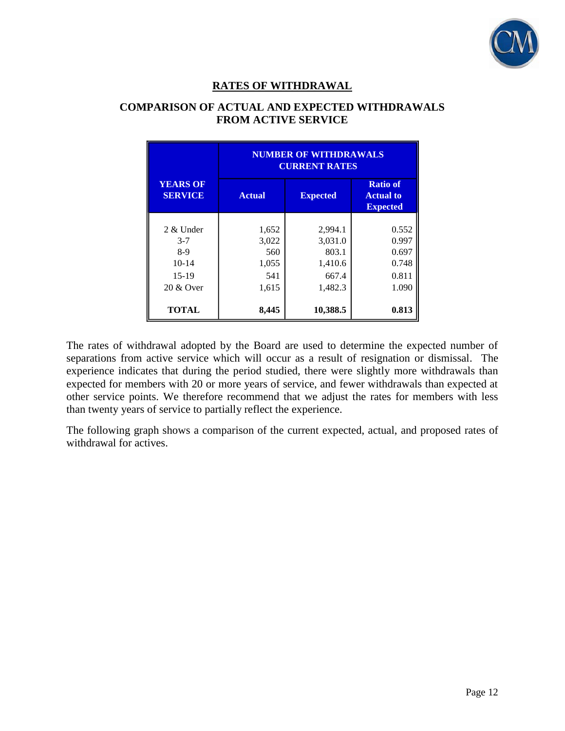

# **RATES OF WITHDRAWAL**

### **COMPARISON OF ACTUAL AND EXPECTED WITHDRAWALS FROM ACTIVE SERVICE**

|                                                                  | <b>NUMBER OF WITHDRAWALS</b><br><b>CURRENT RATES</b> |                                                            |                                                    |  |  |  |  |
|------------------------------------------------------------------|------------------------------------------------------|------------------------------------------------------------|----------------------------------------------------|--|--|--|--|
| <b>YEARS OF</b><br><b>SERVICE</b>                                | <b>Actual</b>                                        | <b>Ratio of</b><br><b>Actual to</b><br><b>Expected</b>     |                                                    |  |  |  |  |
| $2 &$ Under<br>$3 - 7$<br>8-9<br>$10-14$<br>$15-19$<br>20 & Over | 1,652<br>3,022<br>560<br>1,055<br>541<br>1,615       | 2,994.1<br>3,031.0<br>803.1<br>1,410.6<br>667.4<br>1,482.3 | 0.552<br>0.997<br>0.697<br>0.748<br>0.811<br>1.090 |  |  |  |  |
| <b>TOTAL</b>                                                     | 8,445                                                | 10,388.5                                                   | 0.813                                              |  |  |  |  |

The rates of withdrawal adopted by the Board are used to determine the expected number of separations from active service which will occur as a result of resignation or dismissal. The experience indicates that during the period studied, there were slightly more withdrawals than expected for members with 20 or more years of service, and fewer withdrawals than expected at other service points. We therefore recommend that we adjust the rates for members with less than twenty years of service to partially reflect the experience.

The following graph shows a comparison of the current expected, actual, and proposed rates of withdrawal for actives.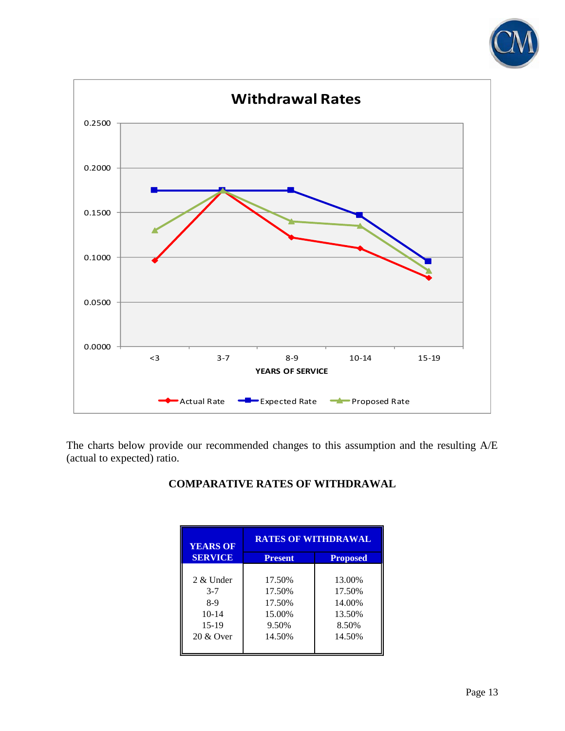



The charts below provide our recommended changes to this assumption and the resulting A/E (actual to expected) ratio.

## **COMPARATIVE RATES OF WITHDRAWAL**

| <b>YEARS OF</b> | <b>RATES OF WITHDRAWAL</b> |                 |  |  |  |
|-----------------|----------------------------|-----------------|--|--|--|
| <b>SERVICE</b>  | <b>Present</b>             | <b>Proposed</b> |  |  |  |
|                 |                            |                 |  |  |  |
| 2 & Under       | 17.50%                     | 13.00%          |  |  |  |
| $3 - 7$         | 17.50%                     | 17.50%          |  |  |  |
| 8-9             | 17.50%                     | 14.00%          |  |  |  |
| $10-14$         | 15.00%                     | 13.50%          |  |  |  |
| $15-19$         | 9.50%                      | 8.50%           |  |  |  |
| 20 & Over       | 14.50%                     | 14.50%          |  |  |  |
|                 |                            |                 |  |  |  |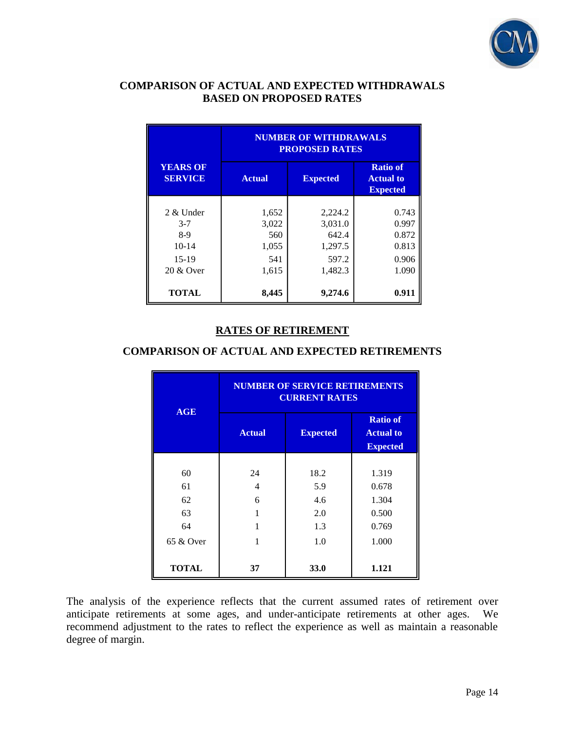

### **COMPARISON OF ACTUAL AND EXPECTED WITHDRAWALS BASED ON PROPOSED RATES**

|                                                                       | <b>NUMBER OF WITHDRAWALS</b><br><b>PROPOSED RATES</b> |                                                            |                                                        |  |  |  |  |
|-----------------------------------------------------------------------|-------------------------------------------------------|------------------------------------------------------------|--------------------------------------------------------|--|--|--|--|
| <b>YEARS OF</b><br><b>SERVICE</b>                                     | <b>Actual</b>                                         | <b>Expected</b>                                            | <b>Ratio of</b><br><b>Actual to</b><br><b>Expected</b> |  |  |  |  |
| $2 \&$ Under<br>$3 - 7$<br>$8-9$<br>$10 - 14$<br>$15-19$<br>20 & Over | 1,652<br>3,022<br>560<br>1,055<br>541<br>1,615        | 2,224.2<br>3,031.0<br>642.4<br>1,297.5<br>597.2<br>1,482.3 | 0.743<br>0.997<br>0.872<br>0.813<br>0.906<br>1.090     |  |  |  |  |
| <b>TOTAL</b>                                                          | 8,445                                                 | 9,274.6                                                    | 0.91                                                   |  |  |  |  |

### **RATES OF RETIREMENT**

### **COMPARISON OF ACTUAL AND EXPECTED RETIREMENTS**

| AGE          | <b>NUMBER OF SERVICE RETIREMENTS</b><br><b>CURRENT RATES</b> |                 |                                                        |  |  |  |
|--------------|--------------------------------------------------------------|-----------------|--------------------------------------------------------|--|--|--|
|              | <b>Actual</b>                                                | <b>Expected</b> | <b>Ratio of</b><br><b>Actual to</b><br><b>Expected</b> |  |  |  |
|              |                                                              |                 |                                                        |  |  |  |
| 60           | 24                                                           | 18.2            | 1.319                                                  |  |  |  |
| 61           | 4                                                            | 5.9             | 0.678                                                  |  |  |  |
| 62           | 6                                                            | 4.6             | 1.304                                                  |  |  |  |
| 63           |                                                              | 2.0             | 0.500                                                  |  |  |  |
| 64           |                                                              | 1.3             | 0.769                                                  |  |  |  |
| 65 & Over    |                                                              | 1.0             | 1.000                                                  |  |  |  |
| <b>TOTAL</b> | 37                                                           | 33.0            | 1.121                                                  |  |  |  |

The analysis of the experience reflects that the current assumed rates of retirement over anticipate retirements at some ages, and under-anticipate retirements at other ages. We recommend adjustment to the rates to reflect the experience as well as maintain a reasonable degree of margin.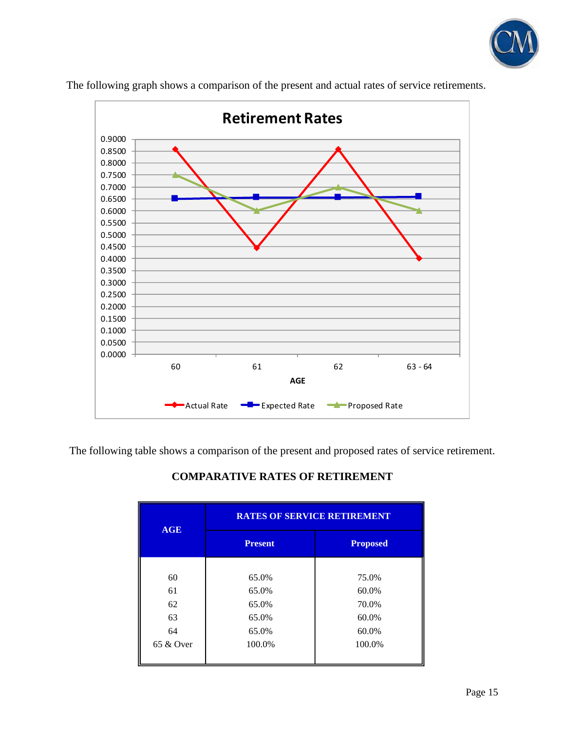



The following graph shows a comparison of the present and actual rates of service retirements.

The following table shows a comparison of the present and proposed rates of service retirement.

|              | <b>RATES OF SERVICE RETIREMENT</b> |                 |  |  |  |
|--------------|------------------------------------|-----------------|--|--|--|
| <b>AGE</b>   | <b>Present</b>                     | <b>Proposed</b> |  |  |  |
|              |                                    |                 |  |  |  |
| 60           | 65.0%                              | 75.0%           |  |  |  |
| 61           | 65.0%                              | 60.0%           |  |  |  |
| 62           | 65.0%                              | 70.0%           |  |  |  |
| 63           | 65.0%                              | 60.0%           |  |  |  |
| 64           | 65.0%                              | 60.0%           |  |  |  |
| $65 \&$ Over | 100.0%                             | 100.0%          |  |  |  |

### **COMPARATIVE RATES OF RETIREMENT**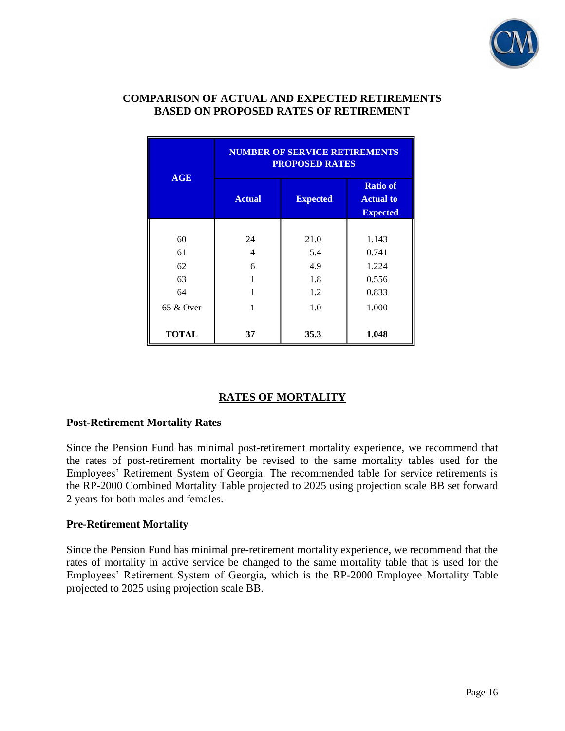

### **COMPARISON OF ACTUAL AND EXPECTED RETIREMENTS BASED ON PROPOSED RATES OF RETIREMENT**

|              | <b>NUMBER OF SERVICE RETIREMENTS</b><br><b>PROPOSED RATES</b> |                 |                                                        |  |  |  |
|--------------|---------------------------------------------------------------|-----------------|--------------------------------------------------------|--|--|--|
| AGE          | <b>Actual</b>                                                 | <b>Expected</b> | <b>Ratio of</b><br><b>Actual to</b><br><b>Expected</b> |  |  |  |
|              |                                                               |                 |                                                        |  |  |  |
| 60           | 24                                                            | 21.0            | 1.143                                                  |  |  |  |
| 61           | 4                                                             | 5.4             | 0.741                                                  |  |  |  |
| 62           | 6                                                             | 4.9             | 1.224                                                  |  |  |  |
| 63           |                                                               | 1.8             | 0.556                                                  |  |  |  |
| 64           |                                                               | 1.2             | 0.833                                                  |  |  |  |
| 65 & Over    |                                                               | 1.0             | 1.000                                                  |  |  |  |
| <b>TOTAL</b> | 37                                                            | 35.3            | 1.048                                                  |  |  |  |

## **RATES OF MORTALITY**

#### **Post-Retirement Mortality Rates**

Since the Pension Fund has minimal post-retirement mortality experience, we recommend that the rates of post-retirement mortality be revised to the same mortality tables used for the Employees' Retirement System of Georgia. The recommended table for service retirements is the RP-2000 Combined Mortality Table projected to 2025 using projection scale BB set forward 2 years for both males and females.

#### **Pre-Retirement Mortality**

Since the Pension Fund has minimal pre-retirement mortality experience, we recommend that the rates of mortality in active service be changed to the same mortality table that is used for the Employees' Retirement System of Georgia, which is the RP-2000 Employee Mortality Table projected to 2025 using projection scale BB.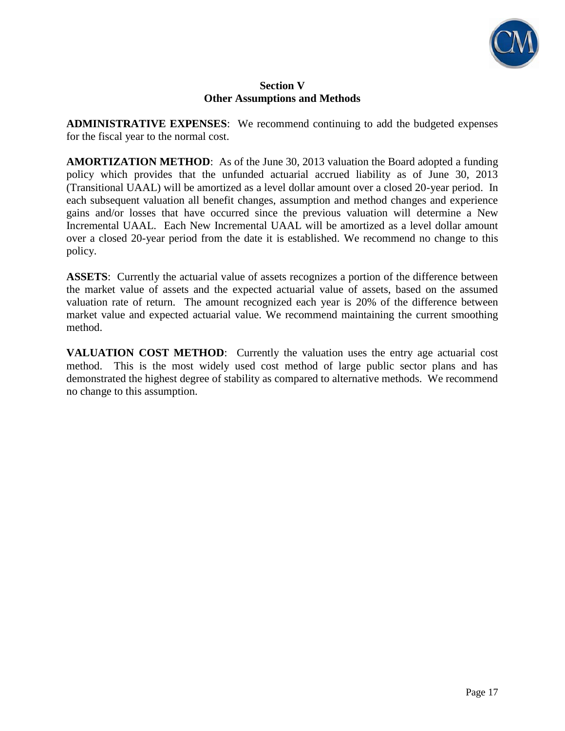

### **Section V Other Assumptions and Methods**

**ADMINISTRATIVE EXPENSES**: We recommend continuing to add the budgeted expenses for the fiscal year to the normal cost.

**AMORTIZATION METHOD**: As of the June 30, 2013 valuation the Board adopted a funding policy which provides that the unfunded actuarial accrued liability as of June 30, 2013 (Transitional UAAL) will be amortized as a level dollar amount over a closed 20-year period. In each subsequent valuation all benefit changes, assumption and method changes and experience gains and/or losses that have occurred since the previous valuation will determine a New Incremental UAAL. Each New Incremental UAAL will be amortized as a level dollar amount over a closed 20-year period from the date it is established. We recommend no change to this policy.

**ASSETS**: Currently the actuarial value of assets recognizes a portion of the difference between the market value of assets and the expected actuarial value of assets, based on the assumed valuation rate of return. The amount recognized each year is 20% of the difference between market value and expected actuarial value. We recommend maintaining the current smoothing method.

**VALUATION COST METHOD**: Currently the valuation uses the entry age actuarial cost method. This is the most widely used cost method of large public sector plans and has demonstrated the highest degree of stability as compared to alternative methods. We recommend no change to this assumption.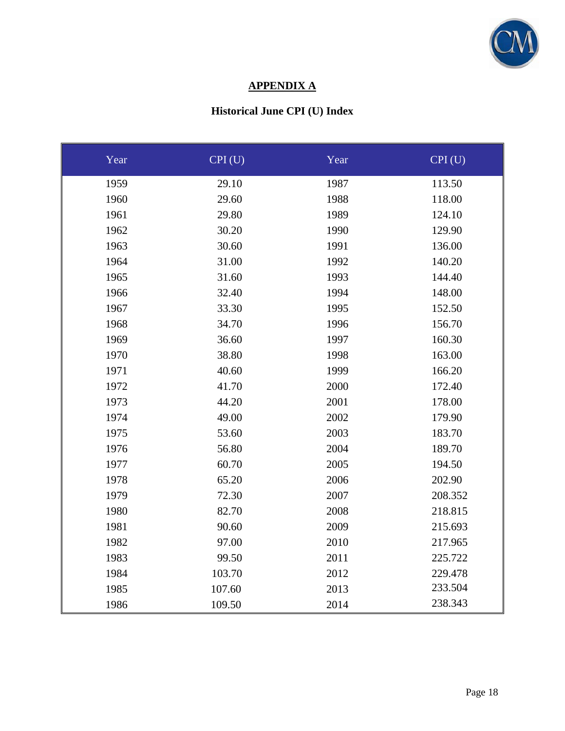

# **APPENDIX A**

# **Historical June CPI (U) Index**

| Year | CPI(U) | Year | CPI(U)  |
|------|--------|------|---------|
| 1959 | 29.10  | 1987 | 113.50  |
| 1960 | 29.60  | 1988 | 118.00  |
| 1961 | 29.80  | 1989 | 124.10  |
| 1962 | 30.20  | 1990 | 129.90  |
| 1963 | 30.60  | 1991 | 136.00  |
| 1964 | 31.00  | 1992 | 140.20  |
| 1965 | 31.60  | 1993 | 144.40  |
| 1966 | 32.40  | 1994 | 148.00  |
| 1967 | 33.30  | 1995 | 152.50  |
| 1968 | 34.70  | 1996 | 156.70  |
| 1969 | 36.60  | 1997 | 160.30  |
| 1970 | 38.80  | 1998 | 163.00  |
| 1971 | 40.60  | 1999 | 166.20  |
| 1972 | 41.70  | 2000 | 172.40  |
| 1973 | 44.20  | 2001 | 178.00  |
| 1974 | 49.00  | 2002 | 179.90  |
| 1975 | 53.60  | 2003 | 183.70  |
| 1976 | 56.80  | 2004 | 189.70  |
| 1977 | 60.70  | 2005 | 194.50  |
| 1978 | 65.20  | 2006 | 202.90  |
| 1979 | 72.30  | 2007 | 208.352 |
| 1980 | 82.70  | 2008 | 218.815 |
| 1981 | 90.60  | 2009 | 215.693 |
| 1982 | 97.00  | 2010 | 217.965 |
| 1983 | 99.50  | 2011 | 225.722 |
| 1984 | 103.70 | 2012 | 229.478 |
| 1985 | 107.60 | 2013 | 233.504 |
| 1986 | 109.50 | 2014 | 238.343 |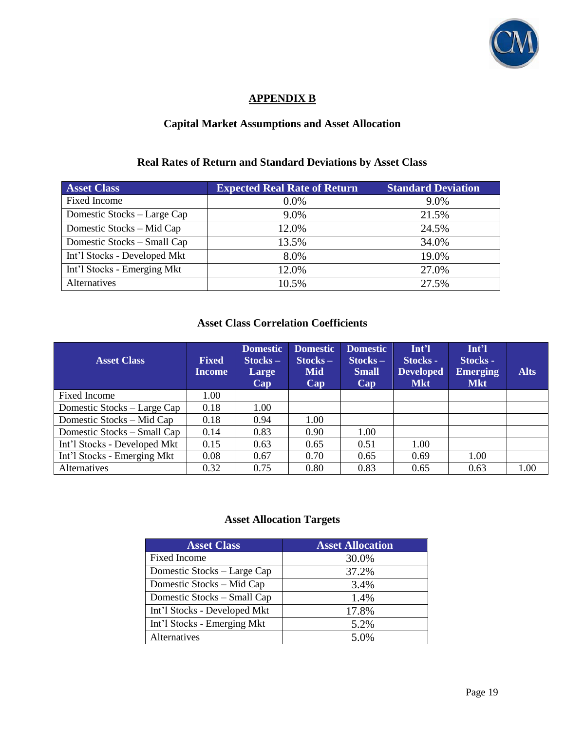

# **APPENDIX B**

# **Capital Market Assumptions and Asset Allocation**

#### **Real Rates of Return and Standard Deviations by Asset Class**

| <b>Asset Class</b>           | <b>Expected Real Rate of Return</b> | <b>Standard Deviation</b> |
|------------------------------|-------------------------------------|---------------------------|
| <b>Fixed Income</b>          | $0.0\%$                             | 9.0%                      |
| Domestic Stocks - Large Cap  | 9.0%                                | 21.5%                     |
| Domestic Stocks - Mid Cap    | 12.0%                               | 24.5%                     |
| Domestic Stocks - Small Cap  | 13.5%                               | 34.0%                     |
| Int'l Stocks - Developed Mkt | 8.0%                                | 19.0%                     |
| Int'l Stocks - Emerging Mkt  | 12.0%                               | 27.0%                     |
| Alternatives                 | 10.5%                               | 27.5%                     |

### **Asset Class Correlation Coefficients**

| <b>Asset Class</b>           | <b>Fixed</b><br><b>Income</b> | <b>Domestic</b><br>$Stocks -$<br>Large<br>Cap | <b>Domestic</b><br>$Stocks -$<br><b>Mid</b><br>Cap | <b>Domestic</b><br>$Stocks -$<br><b>Small</b><br>Cap | Int <sup>2</sup><br>Stocks -<br><b>Developed</b><br><b>Mkt</b> | Int'l<br>Stocks -<br><b>Emerging</b><br><b>Mkt</b> | <b>Alts</b> |
|------------------------------|-------------------------------|-----------------------------------------------|----------------------------------------------------|------------------------------------------------------|----------------------------------------------------------------|----------------------------------------------------|-------------|
| Fixed Income                 | 1.00                          |                                               |                                                    |                                                      |                                                                |                                                    |             |
| Domestic Stocks – Large Cap  | 0.18                          | 1.00                                          |                                                    |                                                      |                                                                |                                                    |             |
| Domestic Stocks – Mid Cap    | 0.18                          | 0.94                                          | 1.00                                               |                                                      |                                                                |                                                    |             |
| Domestic Stocks – Small Cap  | 0.14                          | 0.83                                          | 0.90                                               | 1.00                                                 |                                                                |                                                    |             |
| Int'l Stocks - Developed Mkt | 0.15                          | 0.63                                          | 0.65                                               | 0.51                                                 | 1.00                                                           |                                                    |             |
| Int'l Stocks - Emerging Mkt  | 0.08                          | 0.67                                          | 0.70                                               | 0.65                                                 | 0.69                                                           | 1.00                                               |             |
| Alternatives                 | 0.32                          | 0.75                                          | 0.80                                               | 0.83                                                 | 0.65                                                           | 0.63                                               | 1.00        |

# **Asset Allocation Targets**

| <b>Asset Class</b>           | <b>Asset Allocation</b> |
|------------------------------|-------------------------|
| <b>Fixed Income</b>          | 30.0%                   |
| Domestic Stocks - Large Cap  | 37.2%                   |
| Domestic Stocks – Mid Cap    | 3.4%                    |
| Domestic Stocks - Small Cap  | 1.4%                    |
| Int'l Stocks - Developed Mkt | 17.8%                   |
| Int'l Stocks - Emerging Mkt  | 5.2%                    |
| Alternatives                 | 5.0%                    |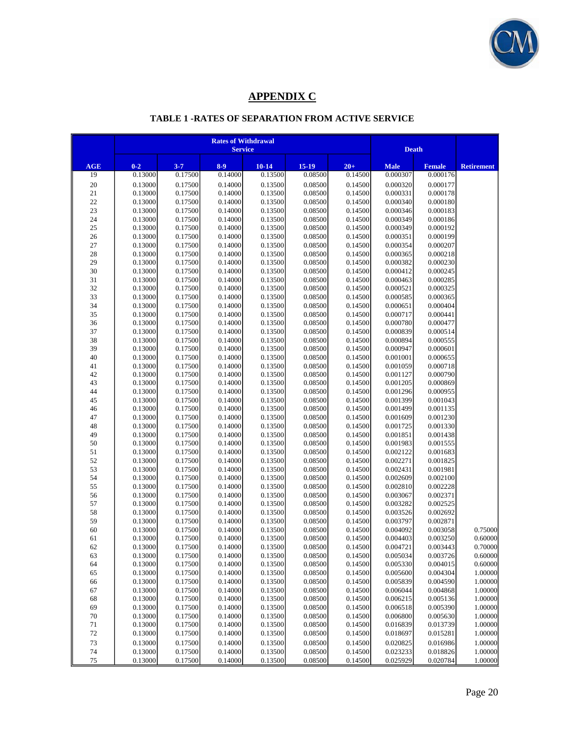

# **APPENDIX C**

## **TABLE 1 -RATES OF SEPARATION FROM ACTIVE SERVICE**

|           | <b>Rates of Withdrawal</b><br><b>Service</b> |                    |                    |                      |                      |                    |                         | <b>Death</b>              |                    |
|-----------|----------------------------------------------|--------------------|--------------------|----------------------|----------------------|--------------------|-------------------------|---------------------------|--------------------|
|           |                                              |                    |                    |                      |                      |                    |                         |                           |                    |
| AGE<br>19 | $0 - 2$<br>0.13000                           | $3 - 7$<br>0.17500 | $8 - 9$<br>0.14000 | $10 - 14$<br>0.13500 | $15 - 19$<br>0.08500 | $20+$<br>0.14500   | <b>Male</b><br>0.000307 | <b>Female</b><br>0.000176 | <b>Retirement</b>  |
| 20        | 0.13000                                      | 0.17500            | 0.14000            | 0.13500              | 0.08500              | 0.14500            | 0.000320                | 0.000177                  |                    |
| 21        | 0.13000                                      | 0.17500            | 0.14000            | 0.13500              | 0.08500              | 0.14500            | 0.000331                | 0.000178                  |                    |
| 22        | 0.13000                                      | 0.17500            | 0.14000            | 0.13500              | 0.08500              | 0.14500            | 0.000340                | 0.000180                  |                    |
| 23        | 0.13000                                      | 0.17500            | 0.14000            | 0.13500              | 0.08500              | 0.14500            | 0.000346                | 0.000183                  |                    |
| 24        | 0.13000                                      | 0.17500            | 0.14000            | 0.13500              | 0.08500              | 0.14500            | 0.000349                | 0.000186                  |                    |
| 25        | 0.13000                                      | 0.17500            | 0.14000            | 0.13500              | 0.08500              | 0.14500            | 0.000349                | 0.000192                  |                    |
| 26        | 0.13000                                      | 0.17500            | 0.14000            | 0.13500              | 0.08500              | 0.14500            | 0.000351                | 0.000199                  |                    |
| 27        | 0.13000                                      | 0.17500            | 0.14000            | 0.13500              | 0.08500              | 0.14500            | 0.000354                | 0.000207                  |                    |
| 28        | 0.13000                                      | 0.17500            | 0.14000            | 0.13500              | 0.08500              | 0.14500            | 0.000365                | 0.000218                  |                    |
| 29        | 0.13000                                      | 0.17500            | 0.14000            | 0.13500              | 0.08500              | 0.14500            | 0.000382                | 0.000230                  |                    |
| 30        | 0.13000                                      | 0.17500            | 0.14000            | 0.13500              | 0.08500              | 0.14500            | 0.000412                | 0.000245                  |                    |
| 31        | 0.13000                                      | 0.17500            | 0.14000            | 0.13500              | 0.08500              | 0.14500            | 0.000463                | 0.000285                  |                    |
| 32        | 0.13000<br>0.13000                           | 0.17500            | 0.14000<br>0.14000 | 0.13500              | 0.08500<br>0.08500   | 0.14500<br>0.14500 | 0.000521<br>0.000585    | 0.000325<br>0.000365      |                    |
| 33<br>34  | 0.13000                                      | 0.17500<br>0.17500 | 0.14000            | 0.13500<br>0.13500   | 0.08500              | 0.14500            | 0.000651                | 0.000404                  |                    |
| 35        | 0.13000                                      | 0.17500            | 0.14000            | 0.13500              | 0.08500              | 0.14500            | 0.000717                | 0.000441                  |                    |
| 36        | 0.13000                                      | 0.17500            | 0.14000            | 0.13500              | 0.08500              | 0.14500            | 0.000780                | 0.000477                  |                    |
| 37        | 0.13000                                      | 0.17500            | 0.14000            | 0.13500              | 0.08500              | 0.14500            | 0.000839                | 0.000514                  |                    |
| 38        | 0.13000                                      | 0.17500            | 0.14000            | 0.13500              | 0.08500              | 0.14500            | 0.000894                | 0.000555                  |                    |
| 39        | 0.13000                                      | 0.17500            | 0.14000            | 0.13500              | 0.08500              | 0.14500            | 0.000947                | 0.000601                  |                    |
| 40        | 0.13000                                      | 0.17500            | 0.14000            | 0.13500              | 0.08500              | 0.14500            | 0.001001                | 0.000655                  |                    |
| 41        | 0.13000                                      | 0.17500            | 0.14000            | 0.13500              | 0.08500              | 0.14500            | 0.001059                | 0.000718                  |                    |
| 42        | 0.13000                                      | 0.17500            | 0.14000            | 0.13500              | 0.08500              | 0.14500            | 0.001127                | 0.000790                  |                    |
| 43        | 0.13000                                      | 0.17500            | 0.14000            | 0.13500              | 0.08500              | 0.14500            | 0.001205                | 0.000869                  |                    |
| 44        | 0.13000                                      | 0.17500            | 0.14000            | 0.13500              | 0.08500              | 0.14500            | 0.001296                | 0.000955                  |                    |
| 45        | 0.13000                                      | 0.17500            | 0.14000            | 0.13500              | 0.08500              | 0.14500            | 0.001399                | 0.001043                  |                    |
| 46        | 0.13000                                      | 0.17500            | 0.14000            | 0.13500              | 0.08500              | 0.14500            | 0.001499                | 0.001135                  |                    |
| 47        | 0.13000                                      | 0.17500            | 0.14000            | 0.13500              | 0.08500              | 0.14500            | 0.001609                | 0.001230                  |                    |
| 48        | 0.13000                                      | 0.17500<br>0.17500 | 0.14000<br>0.14000 | 0.13500<br>0.13500   | 0.08500<br>0.08500   | 0.14500<br>0.14500 | 0.001725<br>0.001851    | 0.001330<br>0.001438      |                    |
| 49<br>50  | 0.13000<br>0.13000                           | 0.17500            | 0.14000            | 0.13500              | 0.08500              | 0.14500            | 0.001983                | 0.001555                  |                    |
| 51        | 0.13000                                      | 0.17500            | 0.14000            | 0.13500              | 0.08500              | 0.14500            | 0.002122                | 0.001683                  |                    |
| 52        | 0.13000                                      | 0.17500            | 0.14000            | 0.13500              | 0.08500              | 0.14500            | 0.002271                | 0.001825                  |                    |
| 53        | 0.13000                                      | 0.17500            | 0.14000            | 0.13500              | 0.08500              | 0.14500            | 0.002431                | 0.001981                  |                    |
| 54        | 0.13000                                      | 0.17500            | 0.14000            | 0.13500              | 0.08500              | 0.14500            | 0.002609                | 0.002100                  |                    |
| 55        | 0.13000                                      | 0.17500            | 0.14000            | 0.13500              | 0.08500              | 0.14500            | 0.002810                | 0.002228                  |                    |
| 56        | 0.13000                                      | 0.17500            | 0.14000            | 0.13500              | 0.08500              | 0.14500            | 0.003067                | 0.002371                  |                    |
| 57        | 0.13000                                      | 0.17500            | 0.14000            | 0.13500              | 0.08500              | 0.14500            | 0.003282                | 0.002525                  |                    |
| 58        | 0.13000                                      | 0.17500            | 0.14000            | 0.13500              | 0.08500              | 0.14500            | 0.003526                | 0.002692                  |                    |
| 59        | 0.13000                                      | 0.17500            | 0.14000            | 0.13500              | 0.08500              | 0.14500            | 0.003797                | 0.002871                  |                    |
| 60        | 0.13000                                      | 0.17500            | 0.14000            | 0.13500              | 0.08500              | 0.14500            | 0.004092                | 0.003058                  | 0.75000            |
| 61        | 0.13000                                      | 0.17500            | 0.14000            | 0.13500              | 0.08500              | 0.14500            | 0.004403                | 0.003250                  | 0.60000            |
| 62        | 0.13000                                      | 0.17500            | 0.14000            | 0.13500              | 0.08500              | 0.14500            | 0.004721                | 0.003443                  | 0.70000            |
| 63        | 0.13000                                      | 0.17500            | 0.14000            | 0.13500              | 0.08500              | 0.14500            | 0.005034                | 0.003726                  | 0.60000            |
| 64        | 0.13000                                      | 0.17500<br>0.17500 | 0.14000<br>0.14000 | 0.13500<br>0.13500   | 0.08500<br>0.08500   | 0.14500<br>0.14500 | 0.005330<br>0.005600    | 0.004015<br>0.004304      | 0.60000<br>1.00000 |
| 65<br>66  | 0.13000<br>0.13000                           | 0.17500            | 0.14000            | 0.13500              | 0.08500              | 0.14500            | 0.005839                | 0.004590                  | 1.00000            |
| 67        | 0.13000                                      | 0.17500            | 0.14000            | 0.13500              | 0.08500              | 0.14500            | 0.006044                | 0.004868                  | 1.00000            |
| 68        | 0.13000                                      | 0.17500            | 0.14000            | 0.13500              | 0.08500              | 0.14500            | 0.006215                | 0.005136                  | 1.00000            |
| 69        | 0.13000                                      | 0.17500            | 0.14000            | 0.13500              | 0.08500              | 0.14500            | 0.006518                | 0.005390                  | 1.00000            |
| 70        | 0.13000                                      | 0.17500            | 0.14000            | 0.13500              | 0.08500              | 0.14500            | 0.006800                | 0.005630                  | 1.00000            |
| 71        | 0.13000                                      | 0.17500            | 0.14000            | 0.13500              | 0.08500              | 0.14500            | 0.016839                | 0.013739                  | 1.00000            |
| 72        | 0.13000                                      | 0.17500            | 0.14000            | 0.13500              | 0.08500              | 0.14500            | 0.018697                | 0.015281                  | 1.00000            |
| 73        | 0.13000                                      | 0.17500            | 0.14000            | 0.13500              | 0.08500              | 0.14500            | 0.020825                | 0.016986                  | 1.00000            |
| 74        | 0.13000                                      | 0.17500            | 0.14000            | 0.13500              | 0.08500              | 0.14500            | 0.023233                | 0.018826                  | 1.00000            |
| 75        | 0.13000                                      | 0.17500            | 0.14000            | 0.13500              | 0.08500              | 0.14500            | 0.025929                | 0.020784                  | 1.00000            |